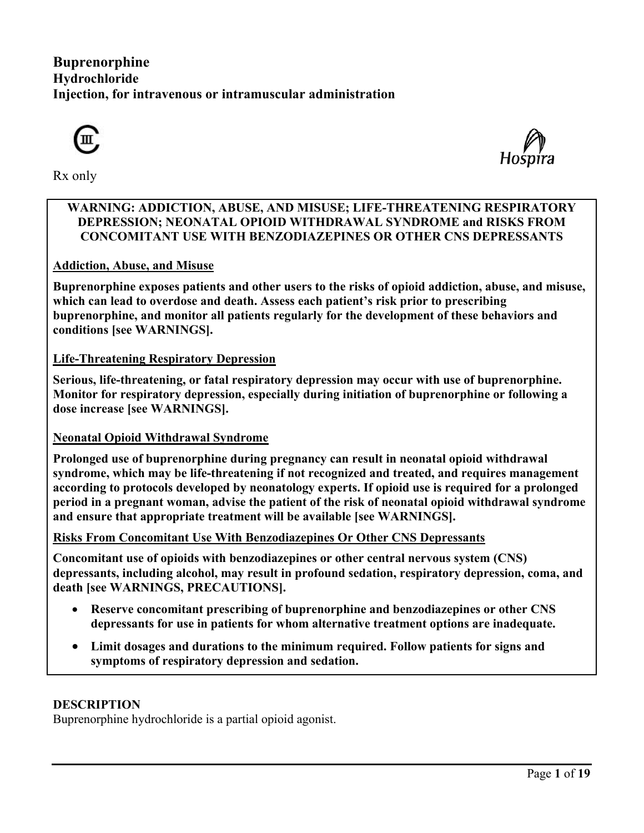**Buprenorphine Hydrochloride Injection, for intravenous or intramuscular administration**



Rx only



# **WARNING: ADDICTION, ABUSE, AND MISUSE; LIFE-THREATENING RESPIRATORY DEPRESSION; NEONATAL OPIOID WITHDRAWAL SYNDROME and RISKS FROM CONCOMITANT USE WITH BENZODIAZEPINES OR OTHER CNS DEPRESSANTS**

# **Addiction, Abuse, and Misuse**

**Buprenorphine exposes patients and other users to the risks of opioid addiction, abuse, and misuse, which can lead to overdose and death. Assess each patient's risk prior to prescribing buprenorphine, and monitor all patients regularly for the development of these behaviors and conditions [see WARNINGS].**

# **Life-Threatening Respiratory Depression**

**Serious, life-threatening, or fatal respiratory depression may occur with use of buprenorphine. Monitor for respiratory depression, especially during initiation of buprenorphine or following a dose increase [see WARNINGS].**

# **Neonatal Opioid Withdrawal Syndrome**

**Prolonged use of buprenorphine during pregnancy can result in neonatal opioid withdrawal syndrome, which may be life-threatening if not recognized and treated, and requires management according to protocols developed by neonatology experts. If opioid use is required for a prolonged period in a pregnant woman, advise the patient of the risk of neonatal opioid withdrawal syndrome and ensure that appropriate treatment will be available [see WARNINGS].**

**Risks From Concomitant Use With Benzodiazepines Or Other CNS Depressants**

**Concomitant use of opioids with benzodiazepines or other central nervous system (CNS) depressants, including alcohol, may result in profound sedation, respiratory depression, coma, and death [see WARNINGS, PRECAUTIONS].**

- **Reserve concomitant prescribing of buprenorphine and benzodiazepines or other CNS depressants for use in patients for whom alternative treatment options are inadequate.**
- **Limit dosages and durations to the minimum required. Follow patients for signs and symptoms of respiratory depression and sedation.**

# **DESCRIPTION**

Buprenorphine hydrochloride is a partial opioid agonist.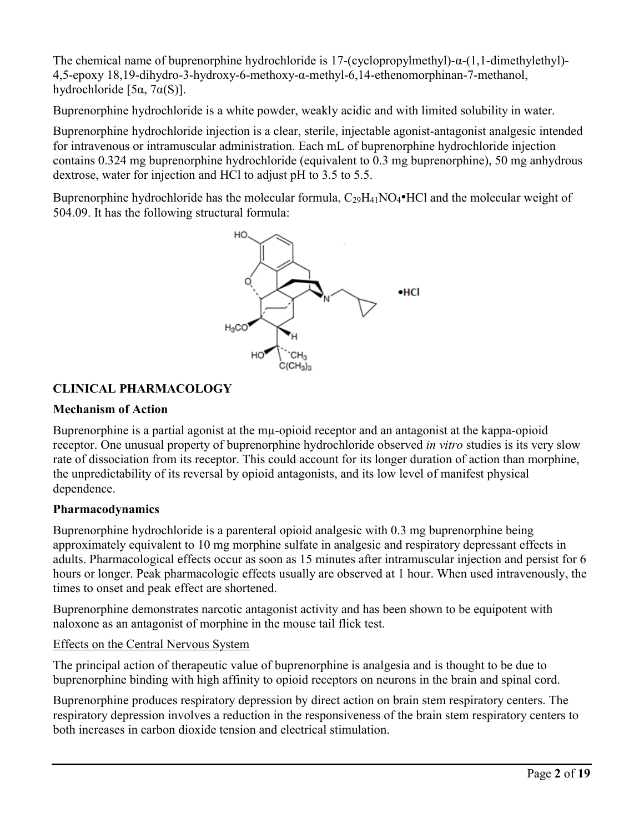The chemical name of buprenorphine hydrochloride is 17-(cyclopropylmethyl)- $\alpha$ -(1,1-dimethylethyl)-4,5-epoxy 18,19-dihydro-3-hydroxy-6-methoxy-α-methyl-6,14-ethenomorphinan-7-methanol, hydrochloride [5α, 7α(S)].

Buprenorphine hydrochloride is a white powder, weakly acidic and with limited solubility in water.

Buprenorphine hydrochloride injection is a clear, sterile, injectable agonist-antagonist analgesic intended for intravenous or intramuscular administration. Each mL of buprenorphine hydrochloride injection contains 0.324 mg buprenorphine hydrochloride (equivalent to 0.3 mg buprenorphine), 50 mg anhydrous dextrose, water for injection and HCl to adjust pH to 3.5 to 5.5.

Buprenorphine hydrochloride has the molecular formula,  $C_{29}H_{41}NO_4 \cdot HCl$  and the molecular weight of 504.09. It has the following structural formula:



# **CLINICAL PHARMACOLOGY**

# **Mechanism of Action**

Buprenorphine is a partial agonist at the mu-opioid receptor and an antagonist at the kappa-opioid receptor. One unusual property of buprenorphine hydrochloride observed *in vitro* studies is its very slow rate of dissociation from its receptor. This could account for its longer duration of action than morphine, the unpredictability of its reversal by opioid antagonists, and its low level of manifest physical dependence.

# **Pharmacodynamics**

Buprenorphine hydrochloride is a parenteral opioid analgesic with 0.3 mg buprenorphine being approximately equivalent to 10 mg morphine sulfate in analgesic and respiratory depressant effects in adults. Pharmacological effects occur as soon as 15 minutes after intramuscular injection and persist for 6 hours or longer. Peak pharmacologic effects usually are observed at 1 hour. When used intravenously, the times to onset and peak effect are shortened.

Buprenorphine demonstrates narcotic antagonist activity and has been shown to be equipotent with naloxone as an antagonist of morphine in the mouse tail flick test.

# Effects on the Central Nervous System

The principal action of therapeutic value of buprenorphine is analgesia and is thought to be due to buprenorphine binding with high affinity to opioid receptors on neurons in the brain and spinal cord.

Buprenorphine produces respiratory depression by direct action on brain stem respiratory centers. The respiratory depression involves a reduction in the responsiveness of the brain stem respiratory centers to both increases in carbon dioxide tension and electrical stimulation.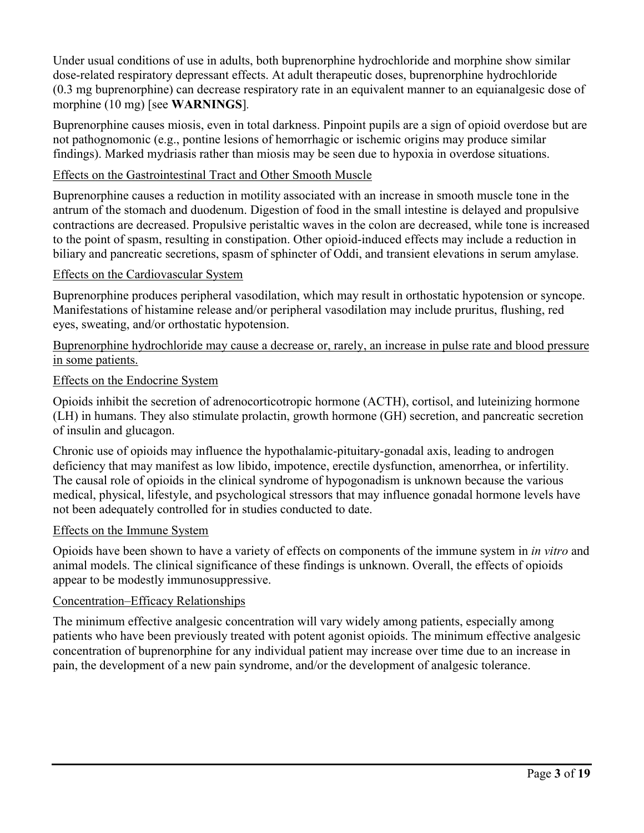Under usual conditions of use in adults, both buprenorphine hydrochloride and morphine show similar dose-related respiratory depressant effects. At adult therapeutic doses, buprenorphine hydrochloride (0.3 mg buprenorphine) can decrease respiratory rate in an equivalent manner to an equianalgesic dose of morphine (10 mg) [see **WARNINGS**]*.*

Buprenorphine causes miosis, even in total darkness. Pinpoint pupils are a sign of opioid overdose but are not pathognomonic (e.g., pontine lesions of hemorrhagic or ischemic origins may produce similar findings). Marked mydriasis rather than miosis may be seen due to hypoxia in overdose situations.

# Effects on the Gastrointestinal Tract and Other Smooth Muscle

Buprenorphine causes a reduction in motility associated with an increase in smooth muscle tone in the antrum of the stomach and duodenum. Digestion of food in the small intestine is delayed and propulsive contractions are decreased. Propulsive peristaltic waves in the colon are decreased, while tone is increased to the point of spasm, resulting in constipation. Other opioid-induced effects may include a reduction in biliary and pancreatic secretions, spasm of sphincter of Oddi, and transient elevations in serum amylase.

#### Effects on the Cardiovascular System

Buprenorphine produces peripheral vasodilation, which may result in orthostatic hypotension or syncope. Manifestations of histamine release and/or peripheral vasodilation may include pruritus, flushing, red eyes, sweating, and/or orthostatic hypotension.

#### Buprenorphine hydrochloride may cause a decrease or, rarely, an increase in pulse rate and blood pressure in some patients.

#### Effects on the Endocrine System

Opioids inhibit the secretion of adrenocorticotropic hormone (ACTH), cortisol, and luteinizing hormone (LH) in humans. They also stimulate prolactin, growth hormone (GH) secretion, and pancreatic secretion of insulin and glucagon.

Chronic use of opioids may influence the hypothalamic-pituitary-gonadal axis, leading to androgen deficiency that may manifest as low libido, impotence, erectile dysfunction, amenorrhea, or infertility. The causal role of opioids in the clinical syndrome of hypogonadism is unknown because the various medical, physical, lifestyle, and psychological stressors that may influence gonadal hormone levels have not been adequately controlled for in studies conducted to date.

#### Effects on the Immune System

Opioids have been shown to have a variety of effects on components of the immune system in *in vitro* and animal models. The clinical significance of these findings is unknown. Overall, the effects of opioids appear to be modestly immunosuppressive.

#### Concentration–Efficacy Relationships

The minimum effective analgesic concentration will vary widely among patients, especially among patients who have been previously treated with potent agonist opioids. The minimum effective analgesic concentration of buprenorphine for any individual patient may increase over time due to an increase in pain, the development of a new pain syndrome, and/or the development of analgesic tolerance.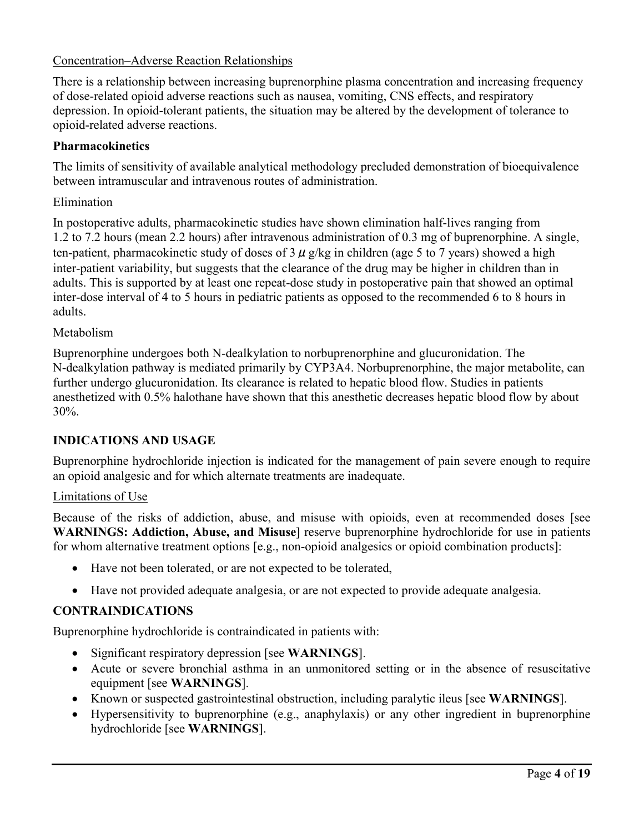# Concentration–Adverse Reaction Relationships

There is a relationship between increasing buprenorphine plasma concentration and increasing frequency of dose-related opioid adverse reactions such as nausea, vomiting, CNS effects, and respiratory depression. In opioid-tolerant patients, the situation may be altered by the development of tolerance to opioid-related adverse reactions.

### **Pharmacokinetics**

The limits of sensitivity of available analytical methodology precluded demonstration of bioequivalence between intramuscular and intravenous routes of administration.

### Elimination

In postoperative adults, pharmacokinetic studies have shown elimination half-lives ranging from 1.2 to 7.2 hours (mean 2.2 hours) after intravenous administration of 0.3 mg of buprenorphine. A single, ten-patient, pharmacokinetic study of doses of  $3 \mu$  g/kg in children (age 5 to 7 years) showed a high inter-patient variability, but suggests that the clearance of the drug may be higher in children than in adults. This is supported by at least one repeat-dose study in postoperative pain that showed an optimal inter-dose interval of 4 to 5 hours in pediatric patients as opposed to the recommended 6 to 8 hours in adults.

#### Metabolism

Buprenorphine undergoes both N-dealkylation to norbuprenorphine and glucuronidation. The N-dealkylation pathway is mediated primarily by CYP3A4. Norbuprenorphine, the major metabolite, can further undergo glucuronidation. Its clearance is related to hepatic blood flow. Studies in patients anesthetized with 0.5% halothane have shown that this anesthetic decreases hepatic blood flow by about 30%.

# **INDICATIONS AND USAGE**

Buprenorphine hydrochloride injection is indicated for the management of pain severe enough to require an opioid analgesic and for which alternate treatments are inadequate.

#### Limitations of Use

Because of the risks of addiction, abuse, and misuse with opioids, even at recommended doses [see **WARNINGS: Addiction, Abuse, and Misuse**] reserve buprenorphine hydrochloride for use in patients for whom alternative treatment options [e.g., non-opioid analgesics or opioid combination products]:

- Have not been tolerated, or are not expected to be tolerated,
- Have not provided adequate analgesia, or are not expected to provide adequate analgesia.

# **CONTRAINDICATIONS**

Buprenorphine hydrochloride is contraindicated in patients with:

- Significant respiratory depression [see **WARNINGS**].
- Acute or severe bronchial asthma in an unmonitored setting or in the absence of resuscitative equipment [see **WARNINGS**].
- Known or suspected gastrointestinal obstruction, including paralytic ileus [see **WARNINGS**].
- Hypersensitivity to buprenorphine (e.g., anaphylaxis) or any other ingredient in buprenorphine hydrochloride [see **WARNINGS**].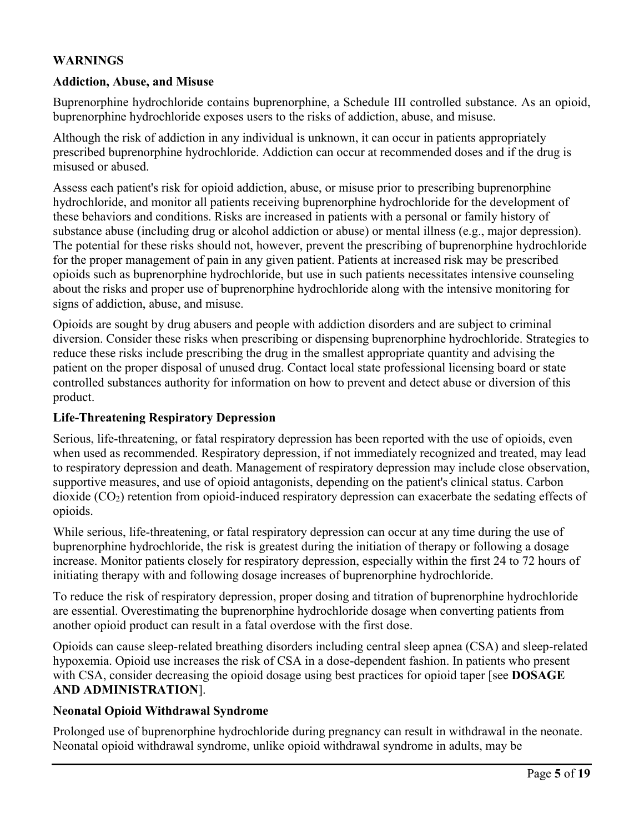# **WARNINGS**

#### **Addiction, Abuse, and Misuse**

Buprenorphine hydrochloride contains buprenorphine, a Schedule III controlled substance. As an opioid, buprenorphine hydrochloride exposes users to the risks of addiction, abuse, and misuse.

Although the risk of addiction in any individual is unknown, it can occur in patients appropriately prescribed buprenorphine hydrochloride. Addiction can occur at recommended doses and if the drug is misused or abused.

Assess each patient's risk for opioid addiction, abuse, or misuse prior to prescribing buprenorphine hydrochloride, and monitor all patients receiving buprenorphine hydrochloride for the development of these behaviors and conditions. Risks are increased in patients with a personal or family history of substance abuse (including drug or alcohol addiction or abuse) or mental illness (e.g., major depression). The potential for these risks should not, however, prevent the prescribing of buprenorphine hydrochloride for the proper management of pain in any given patient. Patients at increased risk may be prescribed opioids such as buprenorphine hydrochloride, but use in such patients necessitates intensive counseling about the risks and proper use of buprenorphine hydrochloride along with the intensive monitoring for signs of addiction, abuse, and misuse.

Opioids are sought by drug abusers and people with addiction disorders and are subject to criminal diversion. Consider these risks when prescribing or dispensing buprenorphine hydrochloride. Strategies to reduce these risks include prescribing the drug in the smallest appropriate quantity and advising the patient on the proper disposal of unused drug. Contact local state professional licensing board or state controlled substances authority for information on how to prevent and detect abuse or diversion of this product.

#### **Life-Threatening Respiratory Depression**

Serious, life-threatening, or fatal respiratory depression has been reported with the use of opioids, even when used as recommended. Respiratory depression, if not immediately recognized and treated, may lead to respiratory depression and death. Management of respiratory depression may include close observation, supportive measures, and use of opioid antagonists, depending on the patient's clinical status. Carbon dioxide (CO2) retention from opioid-induced respiratory depression can exacerbate the sedating effects of opioids.

While serious, life-threatening, or fatal respiratory depression can occur at any time during the use of buprenorphine hydrochloride, the risk is greatest during the initiation of therapy or following a dosage increase. Monitor patients closely for respiratory depression, especially within the first 24 to 72 hours of initiating therapy with and following dosage increases of buprenorphine hydrochloride.

To reduce the risk of respiratory depression, proper dosing and titration of buprenorphine hydrochloride are essential. Overestimating the buprenorphine hydrochloride dosage when converting patients from another opioid product can result in a fatal overdose with the first dose.

Opioids can cause sleep-related breathing disorders including central sleep apnea (CSA) and sleep-related hypoxemia. Opioid use increases the risk of CSA in a dose-dependent fashion. In patients who present with CSA, consider decreasing the opioid dosage using best practices for opioid taper [see **DOSAGE AND ADMINISTRATION**].

# **Neonatal Opioid Withdrawal Syndrome**

Prolonged use of buprenorphine hydrochloride during pregnancy can result in withdrawal in the neonate. Neonatal opioid withdrawal syndrome, unlike opioid withdrawal syndrome in adults, may be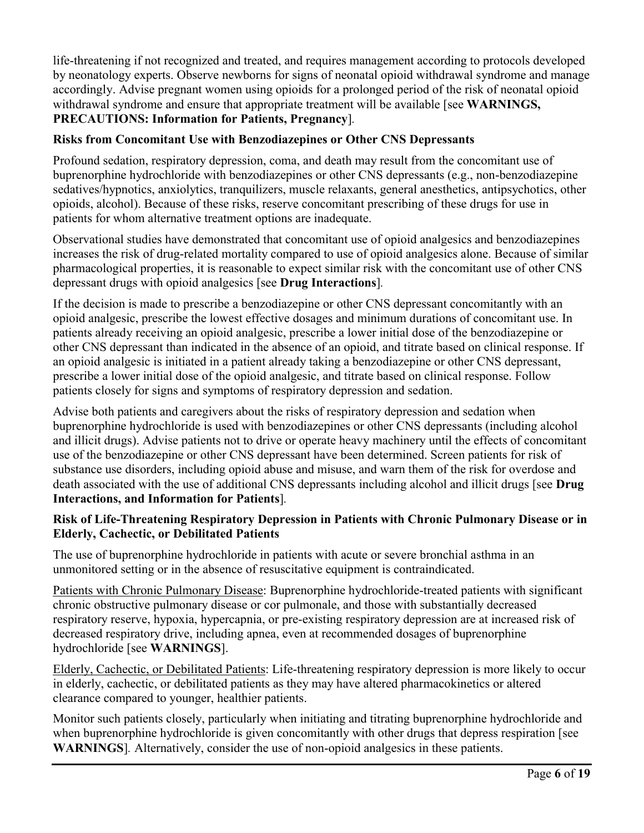life-threatening if not recognized and treated, and requires management according to protocols developed by neonatology experts. Observe newborns for signs of neonatal opioid withdrawal syndrome and manage accordingly. Advise pregnant women using opioids for a prolonged period of the risk of neonatal opioid withdrawal syndrome and ensure that appropriate treatment will be available [see **WARNINGS, PRECAUTIONS: Information for Patients, Pregnancy**]*.*

# **Risks from Concomitant Use with Benzodiazepines or Other CNS Depressants**

Profound sedation, respiratory depression, coma, and death may result from the concomitant use of buprenorphine hydrochloride with benzodiazepines or other CNS depressants (e.g., non-benzodiazepine sedatives/hypnotics, anxiolytics, tranquilizers, muscle relaxants, general anesthetics, antipsychotics, other opioids, alcohol). Because of these risks, reserve concomitant prescribing of these drugs for use in patients for whom alternative treatment options are inadequate.

Observational studies have demonstrated that concomitant use of opioid analgesics and benzodiazepines increases the risk of drug-related mortality compared to use of opioid analgesics alone. Because of similar pharmacological properties, it is reasonable to expect similar risk with the concomitant use of other CNS depressant drugs with opioid analgesics [see **Drug Interactions**]*.*

If the decision is made to prescribe a benzodiazepine or other CNS depressant concomitantly with an opioid analgesic, prescribe the lowest effective dosages and minimum durations of concomitant use. In patients already receiving an opioid analgesic, prescribe a lower initial dose of the benzodiazepine or other CNS depressant than indicated in the absence of an opioid, and titrate based on clinical response. If an opioid analgesic is initiated in a patient already taking a benzodiazepine or other CNS depressant, prescribe a lower initial dose of the opioid analgesic, and titrate based on clinical response. Follow patients closely for signs and symptoms of respiratory depression and sedation.

Advise both patients and caregivers about the risks of respiratory depression and sedation when buprenorphine hydrochloride is used with benzodiazepines or other CNS depressants (including alcohol and illicit drugs). Advise patients not to drive or operate heavy machinery until the effects of concomitant use of the benzodiazepine or other CNS depressant have been determined. Screen patients for risk of substance use disorders, including opioid abuse and misuse, and warn them of the risk for overdose and death associated with the use of additional CNS depressants including alcohol and illicit drugs [see **Drug Interactions, and Information for Patients**]*.*

# **Risk of Life-Threatening Respiratory Depression in Patients with Chronic Pulmonary Disease or in Elderly, Cachectic, or Debilitated Patients**

The use of buprenorphine hydrochloride in patients with acute or severe bronchial asthma in an unmonitored setting or in the absence of resuscitative equipment is contraindicated.

Patients with Chronic Pulmonary Disease: Buprenorphine hydrochloride-treated patients with significant chronic obstructive pulmonary disease or cor pulmonale, and those with substantially decreased respiratory reserve, hypoxia, hypercapnia, or pre-existing respiratory depression are at increased risk of decreased respiratory drive, including apnea, even at recommended dosages of buprenorphine hydrochloride [see **WARNINGS**].

Elderly, Cachectic, or Debilitated Patients: Life-threatening respiratory depression is more likely to occur in elderly, cachectic, or debilitated patients as they may have altered pharmacokinetics or altered clearance compared to younger, healthier patients.

Monitor such patients closely, particularly when initiating and titrating buprenorphine hydrochloride and when buprenorphine hydrochloride is given concomitantly with other drugs that depress respiration [see **WARNINGS**]*.* Alternatively, consider the use of non-opioid analgesics in these patients.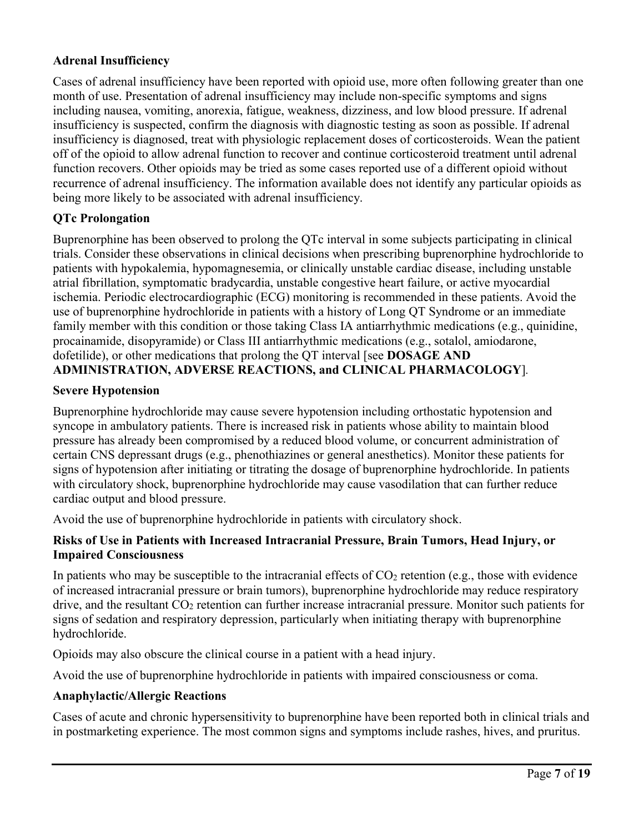# **Adrenal Insufficiency**

Cases of adrenal insufficiency have been reported with opioid use, more often following greater than one month of use. Presentation of adrenal insufficiency may include non-specific symptoms and signs including nausea, vomiting, anorexia, fatigue, weakness, dizziness, and low blood pressure. If adrenal insufficiency is suspected, confirm the diagnosis with diagnostic testing as soon as possible. If adrenal insufficiency is diagnosed, treat with physiologic replacement doses of corticosteroids. Wean the patient off of the opioid to allow adrenal function to recover and continue corticosteroid treatment until adrenal function recovers. Other opioids may be tried as some cases reported use of a different opioid without recurrence of adrenal insufficiency. The information available does not identify any particular opioids as being more likely to be associated with adrenal insufficiency.

# **QTc Prolongation**

Buprenorphine has been observed to prolong the QTc interval in some subjects participating in clinical trials. Consider these observations in clinical decisions when prescribing buprenorphine hydrochloride to patients with hypokalemia, hypomagnesemia, or clinically unstable cardiac disease, including unstable atrial fibrillation, symptomatic bradycardia, unstable congestive heart failure, or active myocardial ischemia. Periodic electrocardiographic (ECG) monitoring is recommended in these patients. Avoid the use of buprenorphine hydrochloride in patients with a history of Long QT Syndrome or an immediate family member with this condition or those taking Class IA antiarrhythmic medications (e.g., quinidine, procainamide, disopyramide) or Class III antiarrhythmic medications (e.g., sotalol, amiodarone, dofetilide), or other medications that prolong the QT interval [see **DOSAGE AND ADMINISTRATION, ADVERSE REACTIONS, and CLINICAL PHARMACOLOGY**]*.*

# **Severe Hypotension**

Buprenorphine hydrochloride may cause severe hypotension including orthostatic hypotension and syncope in ambulatory patients. There is increased risk in patients whose ability to maintain blood pressure has already been compromised by a reduced blood volume, or concurrent administration of certain CNS depressant drugs (e.g., phenothiazines or general anesthetics). Monitor these patients for signs of hypotension after initiating or titrating the dosage of buprenorphine hydrochloride. In patients with circulatory shock, buprenorphine hydrochloride may cause vasodilation that can further reduce cardiac output and blood pressure.

Avoid the use of buprenorphine hydrochloride in patients with circulatory shock.

# **Risks of Use in Patients with Increased Intracranial Pressure, Brain Tumors, Head Injury, or Impaired Consciousness**

In patients who may be susceptible to the intracranial effects of  $CO<sub>2</sub>$  retention (e.g., those with evidence of increased intracranial pressure or brain tumors), buprenorphine hydrochloride may reduce respiratory drive, and the resultant  $CO<sub>2</sub>$  retention can further increase intracranial pressure. Monitor such patients for signs of sedation and respiratory depression, particularly when initiating therapy with buprenorphine hydrochloride.

Opioids may also obscure the clinical course in a patient with a head injury.

Avoid the use of buprenorphine hydrochloride in patients with impaired consciousness or coma.

# **Anaphylactic/Allergic Reactions**

Cases of acute and chronic hypersensitivity to buprenorphine have been reported both in clinical trials and in postmarketing experience. The most common signs and symptoms include rashes, hives, and pruritus.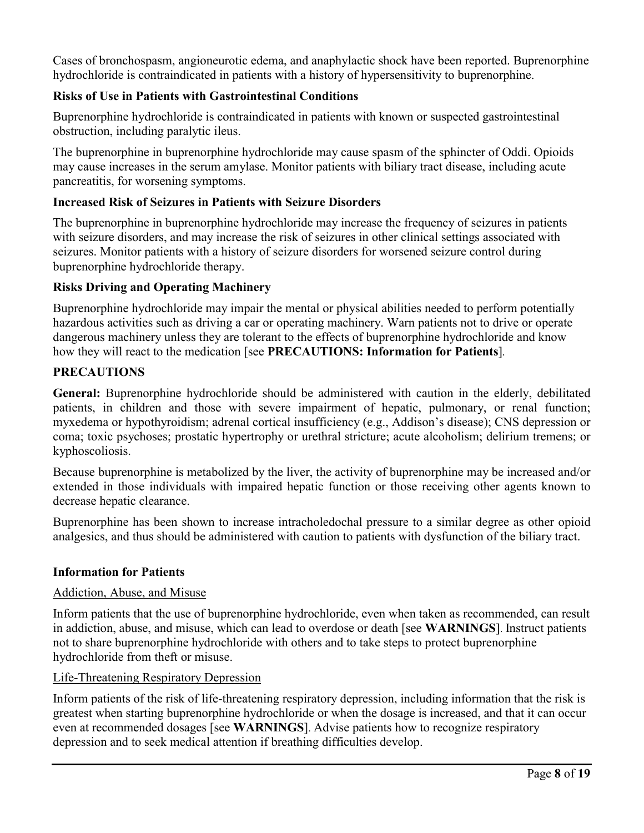Cases of bronchospasm, angioneurotic edema, and anaphylactic shock have been reported. Buprenorphine hydrochloride is contraindicated in patients with a history of hypersensitivity to buprenorphine.

# **Risks of Use in Patients with Gastrointestinal Conditions**

Buprenorphine hydrochloride is contraindicated in patients with known or suspected gastrointestinal obstruction, including paralytic ileus.

The buprenorphine in buprenorphine hydrochloride may cause spasm of the sphincter of Oddi. Opioids may cause increases in the serum amylase. Monitor patients with biliary tract disease, including acute pancreatitis, for worsening symptoms.

# **Increased Risk of Seizures in Patients with Seizure Disorders**

The buprenorphine in buprenorphine hydrochloride may increase the frequency of seizures in patients with seizure disorders, and may increase the risk of seizures in other clinical settings associated with seizures. Monitor patients with a history of seizure disorders for worsened seizure control during buprenorphine hydrochloride therapy.

#### **Risks Driving and Operating Machinery**

Buprenorphine hydrochloride may impair the mental or physical abilities needed to perform potentially hazardous activities such as driving a car or operating machinery. Warn patients not to drive or operate dangerous machinery unless they are tolerant to the effects of buprenorphine hydrochloride and know how they will react to the medication [see **PRECAUTIONS: Information for Patients**]*.*

#### **PRECAUTIONS**

**General:** Buprenorphine hydrochloride should be administered with caution in the elderly, debilitated patients, in children and those with severe impairment of hepatic, pulmonary, or renal function; myxedema or hypothyroidism; adrenal cortical insufficiency (e.g., Addison's disease); CNS depression or coma; toxic psychoses; prostatic hypertrophy or urethral stricture; acute alcoholism; delirium tremens; or kyphoscoliosis.

Because buprenorphine is metabolized by the liver, the activity of buprenorphine may be increased and/or extended in those individuals with impaired hepatic function or those receiving other agents known to decrease hepatic clearance.

Buprenorphine has been shown to increase intracholedochal pressure to a similar degree as other opioid analgesics, and thus should be administered with caution to patients with dysfunction of the biliary tract.

#### **Information for Patients**

#### Addiction, Abuse, and Misuse

Inform patients that the use of buprenorphine hydrochloride, even when taken as recommended, can result in addiction, abuse, and misuse, which can lead to overdose or death [see **WARNINGS**]. Instruct patients not to share buprenorphine hydrochloride with others and to take steps to protect buprenorphine hydrochloride from theft or misuse.

#### Life-Threatening Respiratory Depression

Inform patients of the risk of life-threatening respiratory depression, including information that the risk is greatest when starting buprenorphine hydrochloride or when the dosage is increased, and that it can occur even at recommended dosages [see **WARNINGS**]. Advise patients how to recognize respiratory depression and to seek medical attention if breathing difficulties develop.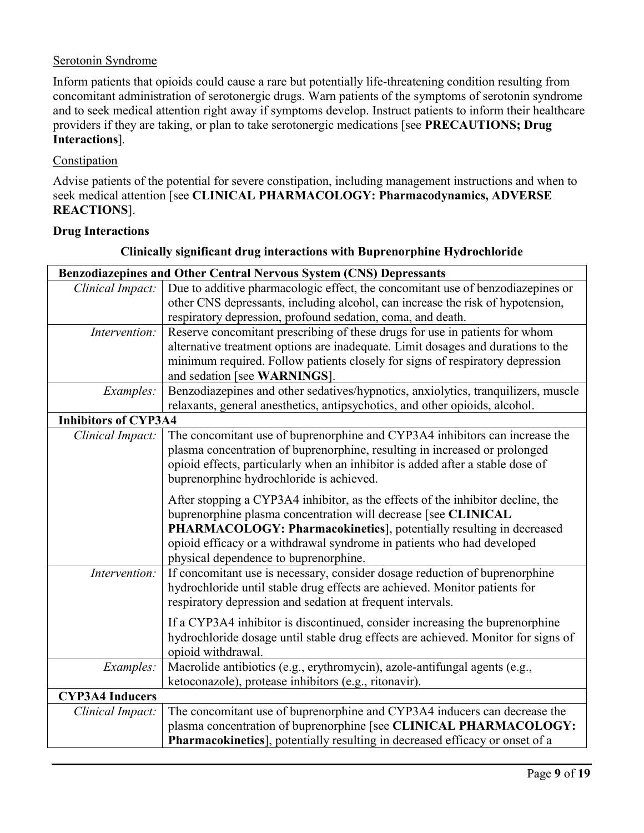# Serotonin Syndrome

Inform patients that opioids could cause a rare but potentially life-threatening condition resulting from concomitant administration of serotonergic drugs. Warn patients of the symptoms of serotonin syndrome and to seek medical attention right away if symptoms develop. Instruct patients to inform their healthcare providers if they are taking, or plan to take serotonergic medications [see **PRECAUTIONS; Drug Interactions**]*.*

#### Constipation

Advise patients of the potential for severe constipation, including management instructions and when to seek medical attention [see **CLINICAL PHARMACOLOGY: Pharmacodynamics, ADVERSE REACTIONS**].

#### **Drug Interactions**

| Benzodiazepines and Other Central Nervous System (CNS) Depressants |                                                                                                                                                                   |  |
|--------------------------------------------------------------------|-------------------------------------------------------------------------------------------------------------------------------------------------------------------|--|
| Clinical Impact:                                                   | Due to additive pharmacologic effect, the concomitant use of benzodiazepines or                                                                                   |  |
|                                                                    | other CNS depressants, including alcohol, can increase the risk of hypotension,                                                                                   |  |
|                                                                    | respiratory depression, profound sedation, coma, and death.                                                                                                       |  |
| Intervention:                                                      | Reserve concomitant prescribing of these drugs for use in patients for whom                                                                                       |  |
|                                                                    | alternative treatment options are inadequate. Limit dosages and durations to the                                                                                  |  |
|                                                                    | minimum required. Follow patients closely for signs of respiratory depression                                                                                     |  |
|                                                                    | and sedation [see WARNINGS].                                                                                                                                      |  |
| Examples:                                                          | Benzodiazepines and other sedatives/hypnotics, anxiolytics, tranquilizers, muscle                                                                                 |  |
|                                                                    | relaxants, general anesthetics, antipsychotics, and other opioids, alcohol.                                                                                       |  |
| <b>Inhibitors of CYP3A4</b>                                        |                                                                                                                                                                   |  |
| Clinical Impact:                                                   | The concomitant use of buprenorphine and CYP3A4 inhibitors can increase the                                                                                       |  |
|                                                                    | plasma concentration of buprenorphine, resulting in increased or prolonged                                                                                        |  |
|                                                                    | opioid effects, particularly when an inhibitor is added after a stable dose of                                                                                    |  |
|                                                                    | buprenorphine hydrochloride is achieved.                                                                                                                          |  |
|                                                                    | After stopping a CYP3A4 inhibitor, as the effects of the inhibitor decline, the                                                                                   |  |
|                                                                    | buprenorphine plasma concentration will decrease [see CLINICAL                                                                                                    |  |
|                                                                    | PHARMACOLOGY: Pharmacokinetics], potentially resulting in decreased                                                                                               |  |
|                                                                    | opioid efficacy or a withdrawal syndrome in patients who had developed                                                                                            |  |
|                                                                    | physical dependence to buprenorphine.                                                                                                                             |  |
| Intervention:                                                      | If concomitant use is necessary, consider dosage reduction of buprenorphine                                                                                       |  |
|                                                                    | hydrochloride until stable drug effects are achieved. Monitor patients for                                                                                        |  |
|                                                                    | respiratory depression and sedation at frequent intervals.                                                                                                        |  |
|                                                                    |                                                                                                                                                                   |  |
|                                                                    | If a CYP3A4 inhibitor is discontinued, consider increasing the buprenorphine<br>hydrochloride dosage until stable drug effects are achieved. Monitor for signs of |  |
|                                                                    | opioid withdrawal.                                                                                                                                                |  |
| Examples:                                                          | Macrolide antibiotics (e.g., erythromycin), azole-antifungal agents (e.g.,                                                                                        |  |
|                                                                    | ketoconazole), protease inhibitors (e.g., ritonavir).                                                                                                             |  |
| <b>CYP3A4 Inducers</b>                                             |                                                                                                                                                                   |  |
|                                                                    | The concomitant use of buprenorphine and CYP3A4 inducers can decrease the                                                                                         |  |
| Clinical Impact:                                                   |                                                                                                                                                                   |  |
|                                                                    | plasma concentration of buprenorphine [see CLINICAL PHARMACOLOGY:                                                                                                 |  |
|                                                                    | Pharmacokinetics], potentially resulting in decreased efficacy or onset of a                                                                                      |  |

#### **Clinically significant drug interactions with Buprenorphine Hydrochloride**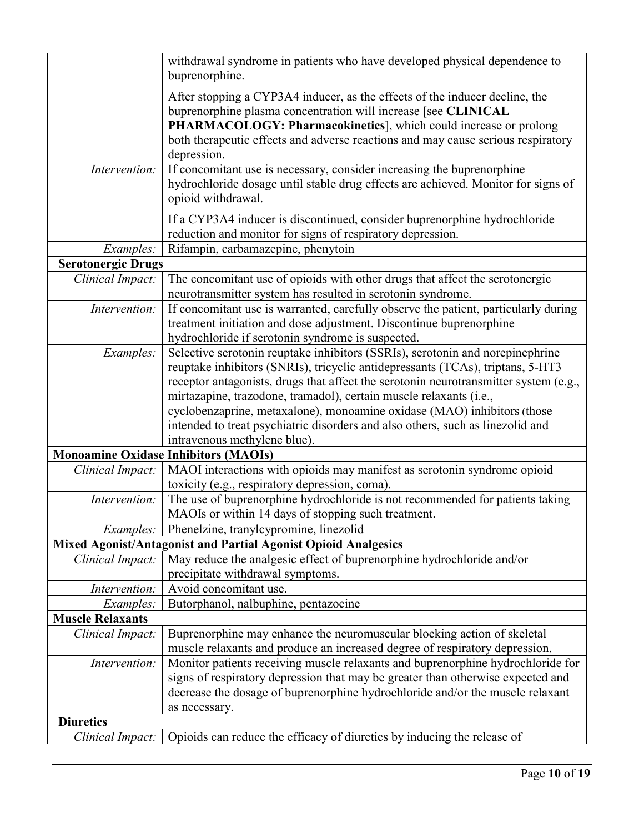|                           | withdrawal syndrome in patients who have developed physical dependence to<br>buprenorphine.                                                                                                                                                                                                                          |
|---------------------------|----------------------------------------------------------------------------------------------------------------------------------------------------------------------------------------------------------------------------------------------------------------------------------------------------------------------|
|                           | After stopping a CYP3A4 inducer, as the effects of the inducer decline, the<br>buprenorphine plasma concentration will increase [see CLINICAL<br>PHARMACOLOGY: Pharmacokinetics], which could increase or prolong<br>both therapeutic effects and adverse reactions and may cause serious respiratory<br>depression. |
| Intervention:             | If concomitant use is necessary, consider increasing the buprenorphine<br>hydrochloride dosage until stable drug effects are achieved. Monitor for signs of<br>opioid withdrawal.                                                                                                                                    |
|                           | If a CYP3A4 inducer is discontinued, consider buprenorphine hydrochloride<br>reduction and monitor for signs of respiratory depression.                                                                                                                                                                              |
| Examples:                 | Rifampin, carbamazepine, phenytoin                                                                                                                                                                                                                                                                                   |
| <b>Serotonergic Drugs</b> |                                                                                                                                                                                                                                                                                                                      |
| Clinical Impact:          | The concomitant use of opioids with other drugs that affect the serotonergic                                                                                                                                                                                                                                         |
|                           | neurotransmitter system has resulted in serotonin syndrome.                                                                                                                                                                                                                                                          |
| Intervention:             | If concomitant use is warranted, carefully observe the patient, particularly during                                                                                                                                                                                                                                  |
|                           | treatment initiation and dose adjustment. Discontinue buprenorphine                                                                                                                                                                                                                                                  |
|                           | hydrochloride if serotonin syndrome is suspected.                                                                                                                                                                                                                                                                    |
| Examples:                 | Selective serotonin reuptake inhibitors (SSRIs), serotonin and norepinephrine                                                                                                                                                                                                                                        |
|                           | reuptake inhibitors (SNRIs), tricyclic antidepressants (TCAs), triptans, 5-HT3                                                                                                                                                                                                                                       |
|                           | receptor antagonists, drugs that affect the serotonin neurotransmitter system (e.g.,                                                                                                                                                                                                                                 |
|                           | mirtazapine, trazodone, tramadol), certain muscle relaxants (i.e.,                                                                                                                                                                                                                                                   |
|                           | cyclobenzaprine, metaxalone), monoamine oxidase (MAO) inhibitors (those                                                                                                                                                                                                                                              |
|                           | intended to treat psychiatric disorders and also others, such as linezolid and                                                                                                                                                                                                                                       |
|                           | intravenous methylene blue).                                                                                                                                                                                                                                                                                         |
|                           | <b>Monoamine Oxidase Inhibitors (MAOIs)</b>                                                                                                                                                                                                                                                                          |
| Clinical Impact:          | MAOI interactions with opioids may manifest as serotonin syndrome opioid<br>toxicity (e.g., respiratory depression, coma).                                                                                                                                                                                           |
| Intervention:             | The use of buprenorphine hydrochloride is not recommended for patients taking                                                                                                                                                                                                                                        |
|                           | MAOIs or within 14 days of stopping such treatment.                                                                                                                                                                                                                                                                  |
| <i>Examples:</i>          | Phenelzine, tranylcypromine, linezolid                                                                                                                                                                                                                                                                               |
|                           | <b>Mixed Agonist/Antagonist and Partial Agonist Opioid Analgesics</b>                                                                                                                                                                                                                                                |
| Clinical Impact:          | May reduce the analgesic effect of buprenorphine hydrochloride and/or                                                                                                                                                                                                                                                |
|                           | precipitate withdrawal symptoms.                                                                                                                                                                                                                                                                                     |
| Intervention:             | Avoid concomitant use.                                                                                                                                                                                                                                                                                               |
| Examples:                 | Butorphanol, nalbuphine, pentazocine                                                                                                                                                                                                                                                                                 |
| <b>Muscle Relaxants</b>   |                                                                                                                                                                                                                                                                                                                      |
| Clinical Impact:          | Buprenorphine may enhance the neuromuscular blocking action of skeletal                                                                                                                                                                                                                                              |
|                           | muscle relaxants and produce an increased degree of respiratory depression.                                                                                                                                                                                                                                          |
| Intervention:             | Monitor patients receiving muscle relaxants and buprenorphine hydrochloride for                                                                                                                                                                                                                                      |
|                           | signs of respiratory depression that may be greater than otherwise expected and                                                                                                                                                                                                                                      |
|                           | decrease the dosage of buprenorphine hydrochloride and/or the muscle relaxant                                                                                                                                                                                                                                        |
|                           | as necessary.                                                                                                                                                                                                                                                                                                        |
| <b>Diuretics</b>          |                                                                                                                                                                                                                                                                                                                      |
| Clinical Impact:          | Opioids can reduce the efficacy of diuretics by inducing the release of                                                                                                                                                                                                                                              |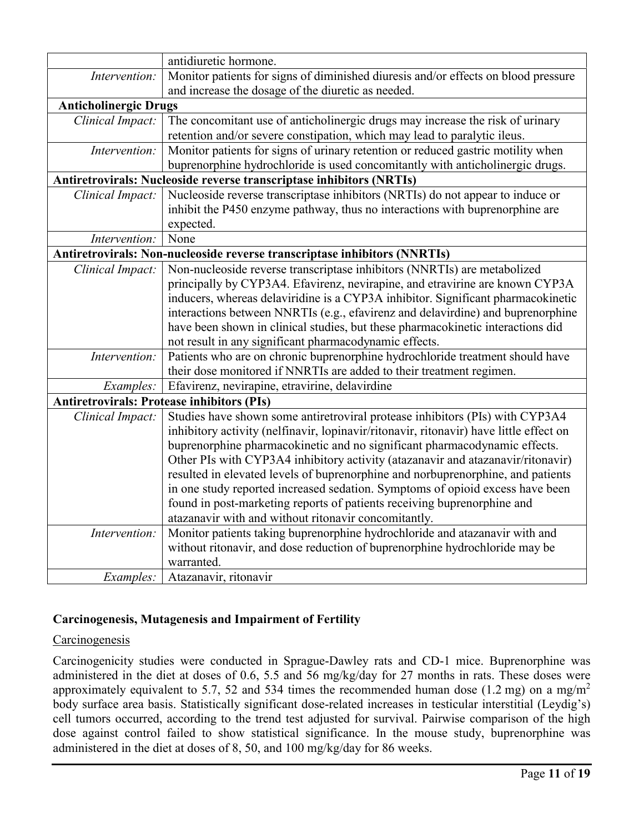|                                                                           | antidiuretic hormone.                                                                  |  |  |
|---------------------------------------------------------------------------|----------------------------------------------------------------------------------------|--|--|
| Intervention:                                                             | Monitor patients for signs of diminished diuresis and/or effects on blood pressure     |  |  |
|                                                                           | and increase the dosage of the diuretic as needed.                                     |  |  |
| <b>Anticholinergic Drugs</b>                                              |                                                                                        |  |  |
| Clinical Impact:                                                          | The concomitant use of anticholinergic drugs may increase the risk of urinary          |  |  |
|                                                                           | retention and/or severe constipation, which may lead to paralytic ileus.               |  |  |
| Intervention:                                                             | Monitor patients for signs of urinary retention or reduced gastric motility when       |  |  |
|                                                                           | buprenorphine hydrochloride is used concomitantly with anticholinergic drugs.          |  |  |
| Antiretrovirals: Nucleoside reverse transcriptase inhibitors (NRTIs)      |                                                                                        |  |  |
| Clinical Impact:                                                          | Nucleoside reverse transcriptase inhibitors (NRTIs) do not appear to induce or         |  |  |
|                                                                           | inhibit the P450 enzyme pathway, thus no interactions with buprenorphine are           |  |  |
|                                                                           | expected.                                                                              |  |  |
| Intervention:                                                             | None                                                                                   |  |  |
| Antiretrovirals: Non-nucleoside reverse transcriptase inhibitors (NNRTIs) |                                                                                        |  |  |
| Clinical Impact:                                                          | Non-nucleoside reverse transcriptase inhibitors (NNRTIs) are metabolized               |  |  |
|                                                                           | principally by CYP3A4. Efavirenz, nevirapine, and etravirine are known CYP3A           |  |  |
|                                                                           | inducers, whereas delaviridine is a CYP3A inhibitor. Significant pharmacokinetic       |  |  |
|                                                                           | interactions between NNRTIs (e.g., efavirenz and delavirdine) and buprenorphine        |  |  |
|                                                                           | have been shown in clinical studies, but these pharmacokinetic interactions did        |  |  |
|                                                                           | not result in any significant pharmacodynamic effects.                                 |  |  |
| Intervention:                                                             | Patients who are on chronic buprenorphine hydrochloride treatment should have          |  |  |
|                                                                           | their dose monitored if NNRTIs are added to their treatment regimen.                   |  |  |
| Examples:                                                                 | Efavirenz, nevirapine, etravirine, delavirdine                                         |  |  |
| <b>Antiretrovirals: Protease inhibitors (PIs)</b>                         |                                                                                        |  |  |
| Clinical Impact:                                                          | Studies have shown some antiretroviral protease inhibitors (PIs) with CYP3A4           |  |  |
|                                                                           | inhibitory activity (nelfinavir, lopinavir/ritonavir, ritonavir) have little effect on |  |  |
|                                                                           | buprenorphine pharmacokinetic and no significant pharmacodynamic effects.              |  |  |
|                                                                           | Other PIs with CYP3A4 inhibitory activity (atazanavir and atazanavir/ritonavir)        |  |  |
|                                                                           | resulted in elevated levels of buprenorphine and norbuprenorphine, and patients        |  |  |
|                                                                           | in one study reported increased sedation. Symptoms of opioid excess have been          |  |  |
|                                                                           | found in post-marketing reports of patients receiving buprenorphine and                |  |  |
|                                                                           | atazanavir with and without ritonavir concomitantly.                                   |  |  |
| Intervention:                                                             | Monitor patients taking buprenorphine hydrochloride and atazanavir with and            |  |  |
|                                                                           | without ritonavir, and dose reduction of buprenorphine hydrochloride may be            |  |  |
|                                                                           | warranted.                                                                             |  |  |
| Examples:                                                                 | Atazanavir, ritonavir                                                                  |  |  |

# **Carcinogenesis, Mutagenesis and Impairment of Fertility**

# Carcinogenesis

Carcinogenicity studies were conducted in Sprague-Dawley rats and CD-1 mice. Buprenorphine was administered in the diet at doses of 0.6, 5.5 and 56 mg/kg/day for 27 months in rats. These doses were approximately equivalent to 5.7, 52 and 534 times the recommended human dose (1.2 mg) on a mg/m<sup>2</sup> body surface area basis. Statistically significant dose-related increases in testicular interstitial (Leydig's) cell tumors occurred, according to the trend test adjusted for survival. Pairwise comparison of the high dose against control failed to show statistical significance. In the mouse study, buprenorphine was administered in the diet at doses of 8, 50, and 100 mg/kg/day for 86 weeks.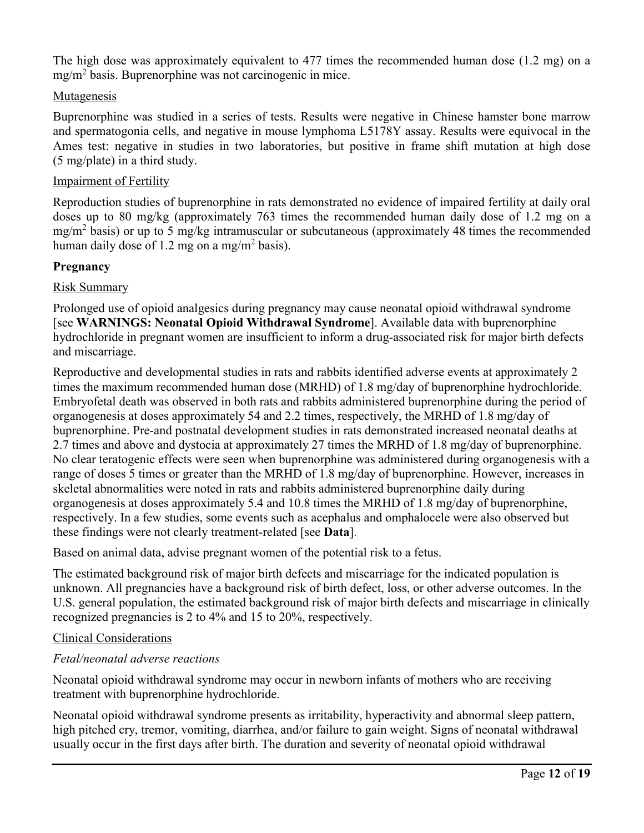The high dose was approximately equivalent to 477 times the recommended human dose (1.2 mg) on a mg/m<sup>2</sup> basis. Buprenorphine was not carcinogenic in mice.

# Mutagenesis

Buprenorphine was studied in a series of tests. Results were negative in Chinese hamster bone marrow and spermatogonia cells, and negative in mouse lymphoma L5178Y assay. Results were equivocal in the Ames test: negative in studies in two laboratories, but positive in frame shift mutation at high dose (5 mg/plate) in a third study.

### Impairment of Fertility

Reproduction studies of buprenorphine in rats demonstrated no evidence of impaired fertility at daily oral doses up to 80 mg/kg (approximately 763 times the recommended human daily dose of 1.2 mg on a mg/m<sup>2</sup> basis) or up to 5 mg/kg intramuscular or subcutaneous (approximately 48 times the recommended human daily dose of 1.2 mg on a mg/m<sup>2</sup> basis).

# **Pregnancy**

# Risk Summary

Prolonged use of opioid analgesics during pregnancy may cause neonatal opioid withdrawal syndrome [see **WARNINGS: Neonatal Opioid Withdrawal Syndrome**]. Available data with buprenorphine hydrochloride in pregnant women are insufficient to inform a drug-associated risk for major birth defects and miscarriage.

Reproductive and developmental studies in rats and rabbits identified adverse events at approximately 2 times the maximum recommended human dose (MRHD) of 1.8 mg/day of buprenorphine hydrochloride. Embryofetal death was observed in both rats and rabbits administered buprenorphine during the period of organogenesis at doses approximately 54 and 2.2 times, respectively, the MRHD of 1.8 mg/day of buprenorphine. Pre-and postnatal development studies in rats demonstrated increased neonatal deaths at 2.7 times and above and dystocia at approximately 27 times the MRHD of 1.8 mg/day of buprenorphine. No clear teratogenic effects were seen when buprenorphine was administered during organogenesis with a range of doses 5 times or greater than the MRHD of 1.8 mg/day of buprenorphine. However, increases in skeletal abnormalities were noted in rats and rabbits administered buprenorphine daily during organogenesis at doses approximately 5.4 and 10.8 times the MRHD of 1.8 mg/day of buprenorphine, respectively. In a few studies, some events such as acephalus and omphalocele were also observed but these findings were not clearly treatment-related [see **Data**].

Based on animal data, advise pregnant women of the potential risk to a fetus.

The estimated background risk of major birth defects and miscarriage for the indicated population is unknown. All pregnancies have a background risk of birth defect, loss, or other adverse outcomes. In the U.S. general population, the estimated background risk of major birth defects and miscarriage in clinically recognized pregnancies is 2 to 4% and 15 to 20%, respectively.

# Clinical Considerations

# *Fetal/neonatal adverse reactions*

Neonatal opioid withdrawal syndrome may occur in newborn infants of mothers who are receiving treatment with buprenorphine hydrochloride.

Neonatal opioid withdrawal syndrome presents as irritability, hyperactivity and abnormal sleep pattern, high pitched cry, tremor, vomiting, diarrhea, and/or failure to gain weight. Signs of neonatal withdrawal usually occur in the first days after birth. The duration and severity of neonatal opioid withdrawal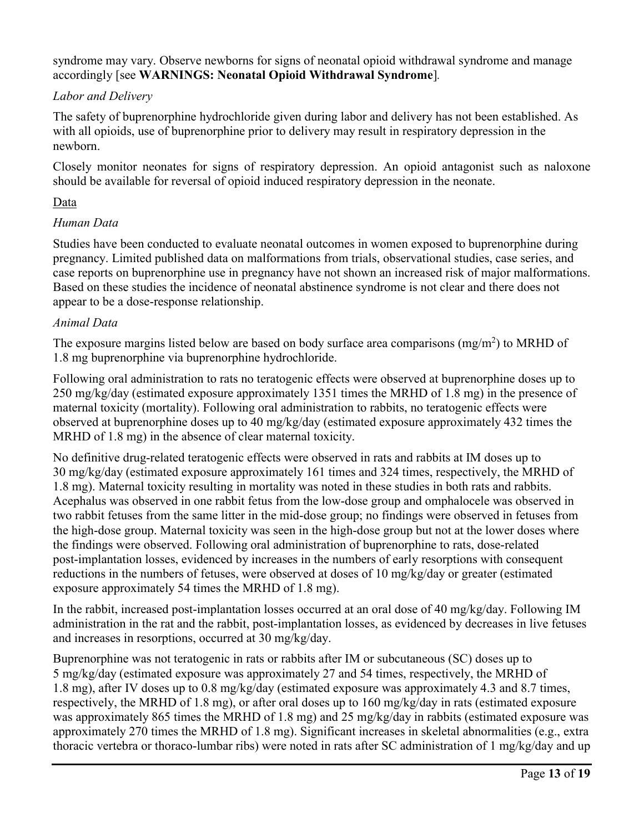syndrome may vary. Observe newborns for signs of neonatal opioid withdrawal syndrome and manage accordingly [see **WARNINGS: Neonatal Opioid Withdrawal Syndrome**]*.*

# *Labor and Delivery*

The safety of buprenorphine hydrochloride given during labor and delivery has not been established. As with all opioids, use of buprenorphine prior to delivery may result in respiratory depression in the newborn.

Closely monitor neonates for signs of respiratory depression. An opioid antagonist such as naloxone should be available for reversal of opioid induced respiratory depression in the neonate.

# Data

# *Human Data*

Studies have been conducted to evaluate neonatal outcomes in women exposed to buprenorphine during pregnancy. Limited published data on malformations from trials, observational studies, case series, and case reports on buprenorphine use in pregnancy have not shown an increased risk of major malformations. Based on these studies the incidence of neonatal abstinence syndrome is not clear and there does not appear to be a dose-response relationship.

# *Animal Data*

The exposure margins listed below are based on body surface area comparisons  $(mg/m<sup>2</sup>)$  to MRHD of 1.8 mg buprenorphine via buprenorphine hydrochloride.

Following oral administration to rats no teratogenic effects were observed at buprenorphine doses up to 250 mg/kg/day (estimated exposure approximately 1351 times the MRHD of 1.8 mg) in the presence of maternal toxicity (mortality). Following oral administration to rabbits, no teratogenic effects were observed at buprenorphine doses up to 40 mg/kg/day (estimated exposure approximately 432 times the MRHD of 1.8 mg) in the absence of clear maternal toxicity.

No definitive drug-related teratogenic effects were observed in rats and rabbits at IM doses up to 30 mg/kg/day (estimated exposure approximately 161 times and 324 times, respectively, the MRHD of 1.8 mg). Maternal toxicity resulting in mortality was noted in these studies in both rats and rabbits. Acephalus was observed in one rabbit fetus from the low-dose group and omphalocele was observed in two rabbit fetuses from the same litter in the mid-dose group; no findings were observed in fetuses from the high-dose group. Maternal toxicity was seen in the high-dose group but not at the lower doses where the findings were observed. Following oral administration of buprenorphine to rats, dose-related post-implantation losses, evidenced by increases in the numbers of early resorptions with consequent reductions in the numbers of fetuses, were observed at doses of 10 mg/kg/day or greater (estimated exposure approximately 54 times the MRHD of 1.8 mg).

In the rabbit, increased post-implantation losses occurred at an oral dose of 40 mg/kg/day. Following IM administration in the rat and the rabbit, post-implantation losses, as evidenced by decreases in live fetuses and increases in resorptions, occurred at 30 mg/kg/day.

Buprenorphine was not teratogenic in rats or rabbits after IM or subcutaneous (SC) doses up to 5 mg/kg/day (estimated exposure was approximately 27 and 54 times, respectively, the MRHD of 1.8 mg), after IV doses up to 0.8 mg/kg/day (estimated exposure was approximately 4.3 and 8.7 times, respectively, the MRHD of 1.8 mg), or after oral doses up to 160 mg/kg/day in rats (estimated exposure was approximately 865 times the MRHD of 1.8 mg) and 25 mg/kg/day in rabbits (estimated exposure was approximately 270 times the MRHD of 1.8 mg). Significant increases in skeletal abnormalities (e.g., extra thoracic vertebra or thoraco-lumbar ribs) were noted in rats after SC administration of 1 mg/kg/day and up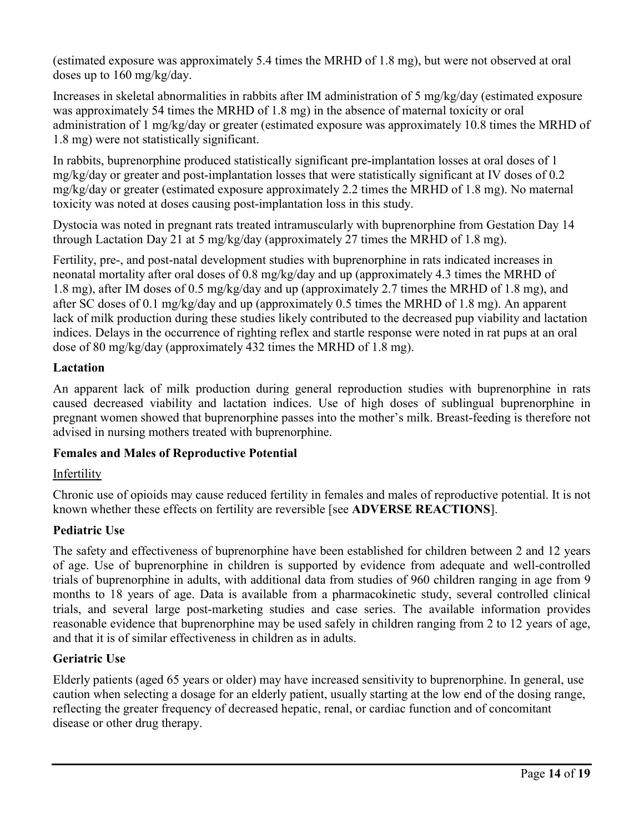(estimated exposure was approximately 5.4 times the MRHD of 1.8 mg), but were not observed at oral doses up to 160 mg/kg/day.

Increases in skeletal abnormalities in rabbits after IM administration of 5 mg/kg/day (estimated exposure was approximately 54 times the MRHD of 1.8 mg) in the absence of maternal toxicity or oral administration of 1 mg/kg/day or greater (estimated exposure was approximately 10.8 times the MRHD of 1.8 mg) were not statistically significant.

In rabbits, buprenorphine produced statistically significant pre-implantation losses at oral doses of 1 mg/kg/day or greater and post-implantation losses that were statistically significant at IV doses of 0.2 mg/kg/day or greater (estimated exposure approximately 2.2 times the MRHD of 1.8 mg). No maternal toxicity was noted at doses causing post-implantation loss in this study.

Dystocia was noted in pregnant rats treated intramuscularly with buprenorphine from Gestation Day 14 through Lactation Day 21 at 5 mg/kg/day (approximately 27 times the MRHD of 1.8 mg).

Fertility, pre-, and post-natal development studies with buprenorphine in rats indicated increases in neonatal mortality after oral doses of 0.8 mg/kg/day and up (approximately 4.3 times the MRHD of 1.8 mg), after IM doses of 0.5 mg/kg/day and up (approximately 2.7 times the MRHD of 1.8 mg), and after SC doses of 0.1 mg/kg/day and up (approximately 0.5 times the MRHD of 1.8 mg). An apparent lack of milk production during these studies likely contributed to the decreased pup viability and lactation indices. Delays in the occurrence of righting reflex and startle response were noted in rat pups at an oral dose of 80 mg/kg/day (approximately 432 times the MRHD of 1.8 mg).

# **Lactation**

An apparent lack of milk production during general reproduction studies with buprenorphine in rats caused decreased viability and lactation indices. Use of high doses of sublingual buprenorphine in pregnant women showed that buprenorphine passes into the mother's milk. Breast-feeding is therefore not advised in nursing mothers treated with buprenorphine.

# **Females and Males of Reproductive Potential**

# **Infertility**

Chronic use of opioids may cause reduced fertility in females and males of reproductive potential. It is not known whether these effects on fertility are reversible [see **ADVERSE REACTIONS**].

# **Pediatric Use**

The safety and effectiveness of buprenorphine have been established for children between 2 and 12 years of age. Use of buprenorphine in children is supported by evidence from adequate and well-controlled trials of buprenorphine in adults, with additional data from studies of 960 children ranging in age from 9 months to 18 years of age. Data is available from a pharmacokinetic study, several controlled clinical trials, and several large post-marketing studies and case series. The available information provides reasonable evidence that buprenorphine may be used safely in children ranging from 2 to 12 years of age, and that it is of similar effectiveness in children as in adults.

# **Geriatric Use**

Elderly patients (aged 65 years or older) may have increased sensitivity to buprenorphine. In general, use caution when selecting a dosage for an elderly patient, usually starting at the low end of the dosing range, reflecting the greater frequency of decreased hepatic, renal, or cardiac function and of concomitant disease or other drug therapy.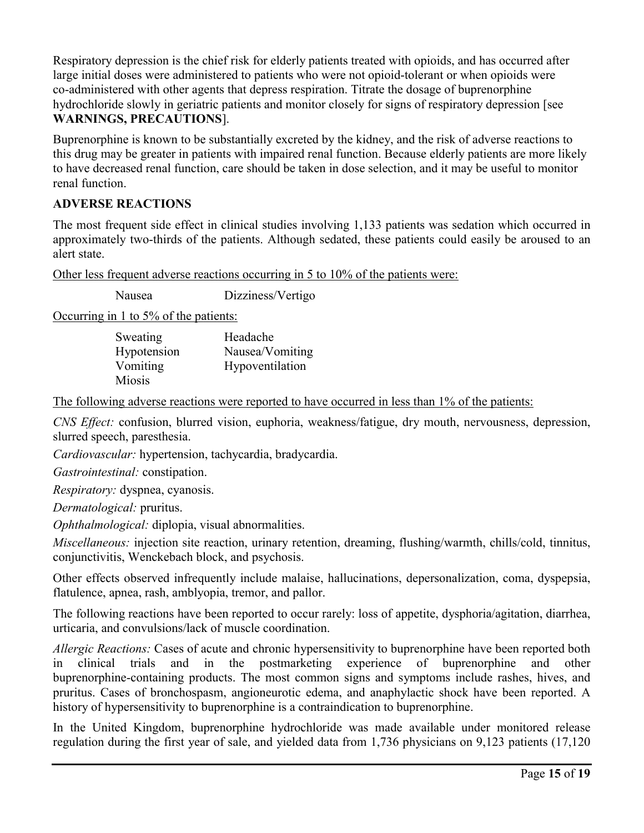Respiratory depression is the chief risk for elderly patients treated with opioids, and has occurred after large initial doses were administered to patients who were not opioid-tolerant or when opioids were co-administered with other agents that depress respiration. Titrate the dosage of buprenorphine hydrochloride slowly in geriatric patients and monitor closely for signs of respiratory depression [see **WARNINGS, PRECAUTIONS**].

Buprenorphine is known to be substantially excreted by the kidney, and the risk of adverse reactions to this drug may be greater in patients with impaired renal function. Because elderly patients are more likely to have decreased renal function, care should be taken in dose selection, and it may be useful to monitor renal function.

# **ADVERSE REACTIONS**

The most frequent side effect in clinical studies involving 1,133 patients was sedation which occurred in approximately two-thirds of the patients. Although sedated, these patients could easily be aroused to an alert state.

Other less frequent adverse reactions occurring in 5 to 10% of the patients were:

Nausea Dizziness/Vertigo

Occurring in 1 to 5% of the patients:

| Sweating      | Headache        |
|---------------|-----------------|
| Hypotension   | Nausea/Vomiting |
| Vomiting      | Hypoventilation |
| <b>Miosis</b> |                 |

The following adverse reactions were reported to have occurred in less than 1% of the patients:

*CNS Effect:* confusion, blurred vision, euphoria, weakness/fatigue, dry mouth, nervousness, depression, slurred speech, paresthesia.

*Cardiovascular:* hypertension, tachycardia, bradycardia.

*Gastrointestinal:* constipation.

*Respiratory:* dyspnea, cyanosis.

*Dermatological:* pruritus.

*Ophthalmological:* diplopia, visual abnormalities.

*Miscellaneous:* injection site reaction, urinary retention, dreaming, flushing/warmth, chills/cold, tinnitus, conjunctivitis, Wenckebach block, and psychosis.

Other effects observed infrequently include malaise, hallucinations, depersonalization, coma, dyspepsia, flatulence, apnea, rash, amblyopia, tremor, and pallor.

The following reactions have been reported to occur rarely: loss of appetite, dysphoria/agitation, diarrhea, urticaria, and convulsions/lack of muscle coordination.

*Allergic Reactions:* Cases of acute and chronic hypersensitivity to buprenorphine have been reported both in clinical trials and in the postmarketing experience of buprenorphine and other buprenorphine-containing products. The most common signs and symptoms include rashes, hives, and pruritus. Cases of bronchospasm, angioneurotic edema, and anaphylactic shock have been reported. A history of hypersensitivity to buprenorphine is a contraindication to buprenorphine.

In the United Kingdom, buprenorphine hydrochloride was made available under monitored release regulation during the first year of sale, and yielded data from 1,736 physicians on 9,123 patients (17,120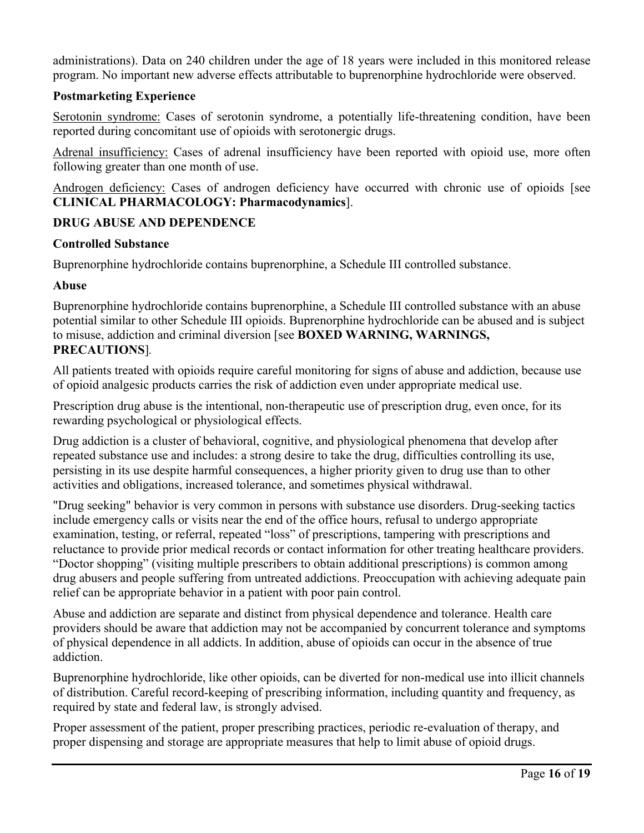administrations). Data on 240 children under the age of 18 years were included in this monitored release program. No important new adverse effects attributable to buprenorphine hydrochloride were observed.

# **Postmarketing Experience**

Serotonin syndrome: Cases of serotonin syndrome, a potentially life-threatening condition, have been reported during concomitant use of opioids with serotonergic drugs.

Adrenal insufficiency: Cases of adrenal insufficiency have been reported with opioid use, more often following greater than one month of use.

Androgen deficiency: Cases of androgen deficiency have occurred with chronic use of opioids [see **CLINICAL PHARMACOLOGY: Pharmacodynamics**].

# **DRUG ABUSE AND DEPENDENCE**

#### **Controlled Substance**

Buprenorphine hydrochloride contains buprenorphine, a Schedule III controlled substance.

#### **Abuse**

Buprenorphine hydrochloride contains buprenorphine, a Schedule III controlled substance with an abuse potential similar to other Schedule III opioids. Buprenorphine hydrochloride can be abused and is subject to misuse, addiction and criminal diversion [see **BOXED WARNING, WARNINGS, PRECAUTIONS**]*.*

All patients treated with opioids require careful monitoring for signs of abuse and addiction, because use of opioid analgesic products carries the risk of addiction even under appropriate medical use.

Prescription drug abuse is the intentional, non-therapeutic use of prescription drug, even once, for its rewarding psychological or physiological effects.

Drug addiction is a cluster of behavioral, cognitive, and physiological phenomena that develop after repeated substance use and includes: a strong desire to take the drug, difficulties controlling its use, persisting in its use despite harmful consequences, a higher priority given to drug use than to other activities and obligations, increased tolerance, and sometimes physical withdrawal.

"Drug seeking" behavior is very common in persons with substance use disorders. Drug-seeking tactics include emergency calls or visits near the end of the office hours, refusal to undergo appropriate examination, testing, or referral, repeated "loss" of prescriptions, tampering with prescriptions and reluctance to provide prior medical records or contact information for other treating healthcare providers. "Doctor shopping" (visiting multiple prescribers to obtain additional prescriptions) is common among drug abusers and people suffering from untreated addictions. Preoccupation with achieving adequate pain relief can be appropriate behavior in a patient with poor pain control.

Abuse and addiction are separate and distinct from physical dependence and tolerance. Health care providers should be aware that addiction may not be accompanied by concurrent tolerance and symptoms of physical dependence in all addicts. In addition, abuse of opioids can occur in the absence of true addiction.

Buprenorphine hydrochloride, like other opioids, can be diverted for non-medical use into illicit channels of distribution. Careful record-keeping of prescribing information, including quantity and frequency, as required by state and federal law, is strongly advised.

Proper assessment of the patient, proper prescribing practices, periodic re-evaluation of therapy, and proper dispensing and storage are appropriate measures that help to limit abuse of opioid drugs.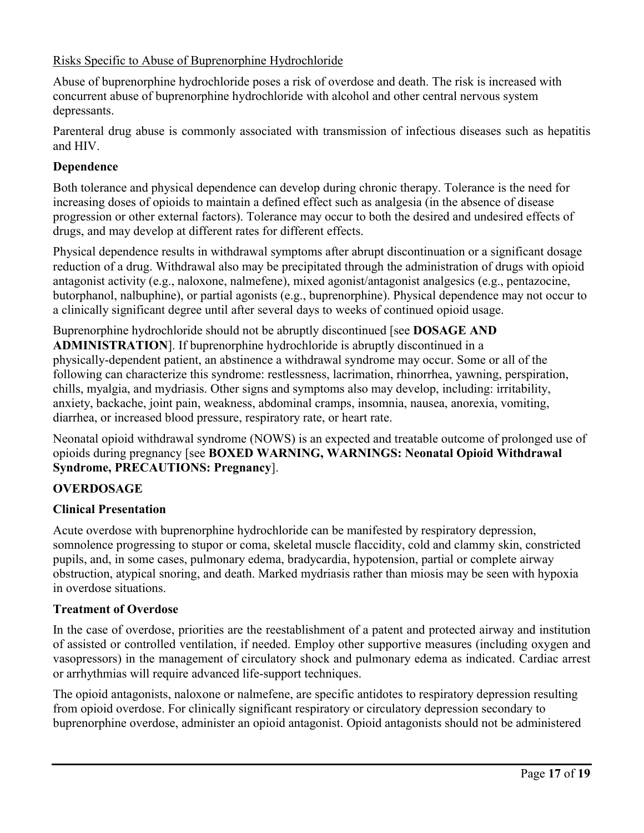# Risks Specific to Abuse of Buprenorphine Hydrochloride

Abuse of buprenorphine hydrochloride poses a risk of overdose and death. The risk is increased with concurrent abuse of buprenorphine hydrochloride with alcohol and other central nervous system depressants.

Parenteral drug abuse is commonly associated with transmission of infectious diseases such as hepatitis and HIV.

# **Dependence**

Both tolerance and physical dependence can develop during chronic therapy. Tolerance is the need for increasing doses of opioids to maintain a defined effect such as analgesia (in the absence of disease progression or other external factors). Tolerance may occur to both the desired and undesired effects of drugs, and may develop at different rates for different effects.

Physical dependence results in withdrawal symptoms after abrupt discontinuation or a significant dosage reduction of a drug. Withdrawal also may be precipitated through the administration of drugs with opioid antagonist activity (e.g., naloxone, nalmefene), mixed agonist/antagonist analgesics (e.g., pentazocine, butorphanol, nalbuphine), or partial agonists (e.g., buprenorphine). Physical dependence may not occur to a clinically significant degree until after several days to weeks of continued opioid usage.

Buprenorphine hydrochloride should not be abruptly discontinued [see **DOSAGE AND ADMINISTRATION**]. If buprenorphine hydrochloride is abruptly discontinued in a physically-dependent patient, an abstinence a withdrawal syndrome may occur. Some or all of the following can characterize this syndrome: restlessness, lacrimation, rhinorrhea, yawning, perspiration, chills, myalgia, and mydriasis. Other signs and symptoms also may develop, including: irritability, anxiety, backache, joint pain, weakness, abdominal cramps, insomnia, nausea, anorexia, vomiting, diarrhea, or increased blood pressure, respiratory rate, or heart rate.

Neonatal opioid withdrawal syndrome (NOWS) is an expected and treatable outcome of prolonged use of opioids during pregnancy [see **BOXED WARNING, WARNINGS: Neonatal Opioid Withdrawal Syndrome, PRECAUTIONS: Pregnancy**].

# **OVERDOSAGE**

# **Clinical Presentation**

Acute overdose with buprenorphine hydrochloride can be manifested by respiratory depression, somnolence progressing to stupor or coma, skeletal muscle flaccidity, cold and clammy skin, constricted pupils, and, in some cases, pulmonary edema, bradycardia, hypotension, partial or complete airway obstruction, atypical snoring, and death. Marked mydriasis rather than miosis may be seen with hypoxia in overdose situations.

# **Treatment of Overdose**

In the case of overdose, priorities are the reestablishment of a patent and protected airway and institution of assisted or controlled ventilation, if needed. Employ other supportive measures (including oxygen and vasopressors) in the management of circulatory shock and pulmonary edema as indicated. Cardiac arrest or arrhythmias will require advanced life-support techniques.

The opioid antagonists, naloxone or nalmefene, are specific antidotes to respiratory depression resulting from opioid overdose. For clinically significant respiratory or circulatory depression secondary to buprenorphine overdose, administer an opioid antagonist. Opioid antagonists should not be administered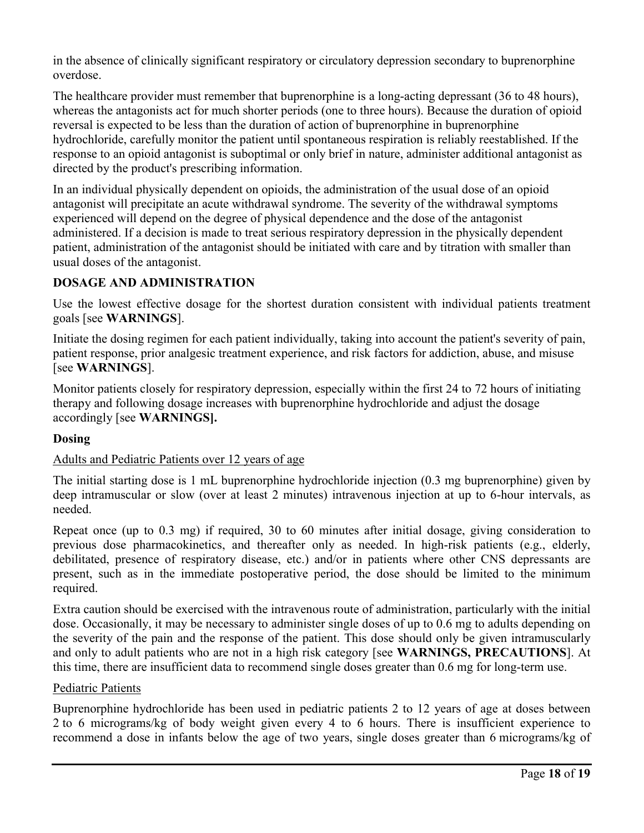in the absence of clinically significant respiratory or circulatory depression secondary to buprenorphine overdose.

The healthcare provider must remember that buprenorphine is a long-acting depressant (36 to 48 hours), whereas the antagonists act for much shorter periods (one to three hours). Because the duration of opioid reversal is expected to be less than the duration of action of buprenorphine in buprenorphine hydrochloride, carefully monitor the patient until spontaneous respiration is reliably reestablished. If the response to an opioid antagonist is suboptimal or only brief in nature, administer additional antagonist as directed by the product's prescribing information.

In an individual physically dependent on opioids, the administration of the usual dose of an opioid antagonist will precipitate an acute withdrawal syndrome. The severity of the withdrawal symptoms experienced will depend on the degree of physical dependence and the dose of the antagonist administered. If a decision is made to treat serious respiratory depression in the physically dependent patient, administration of the antagonist should be initiated with care and by titration with smaller than usual doses of the antagonist.

# **DOSAGE AND ADMINISTRATION**

Use the lowest effective dosage for the shortest duration consistent with individual patients treatment goals [see **WARNINGS**].

Initiate the dosing regimen for each patient individually, taking into account the patient's severity of pain, patient response, prior analgesic treatment experience, and risk factors for addiction, abuse, and misuse [see **WARNINGS**].

Monitor patients closely for respiratory depression, especially within the first 24 to 72 hours of initiating therapy and following dosage increases with buprenorphine hydrochloride and adjust the dosage accordingly [see **WARNINGS].**

# **Dosing**

# Adults and Pediatric Patients over 12 years of age

The initial starting dose is 1 mL buprenorphine hydrochloride injection (0.3 mg buprenorphine) given by deep intramuscular or slow (over at least 2 minutes) intravenous injection at up to 6-hour intervals, as needed.

Repeat once (up to 0.3 mg) if required, 30 to 60 minutes after initial dosage, giving consideration to previous dose pharmacokinetics, and thereafter only as needed. In high-risk patients (e.g., elderly, debilitated, presence of respiratory disease, etc.) and/or in patients where other CNS depressants are present, such as in the immediate postoperative period, the dose should be limited to the minimum required.

Extra caution should be exercised with the intravenous route of administration, particularly with the initial dose. Occasionally, it may be necessary to administer single doses of up to 0.6 mg to adults depending on the severity of the pain and the response of the patient. This dose should only be given intramuscularly and only to adult patients who are not in a high risk category [see **WARNINGS, PRECAUTIONS**]. At this time, there are insufficient data to recommend single doses greater than 0.6 mg for long-term use.

# Pediatric Patients

Buprenorphine hydrochloride has been used in pediatric patients 2 to 12 years of age at doses between 2 to 6 micrograms/kg of body weight given every 4 to 6 hours. There is insufficient experience to recommend a dose in infants below the age of two years, single doses greater than 6 micrograms/kg of